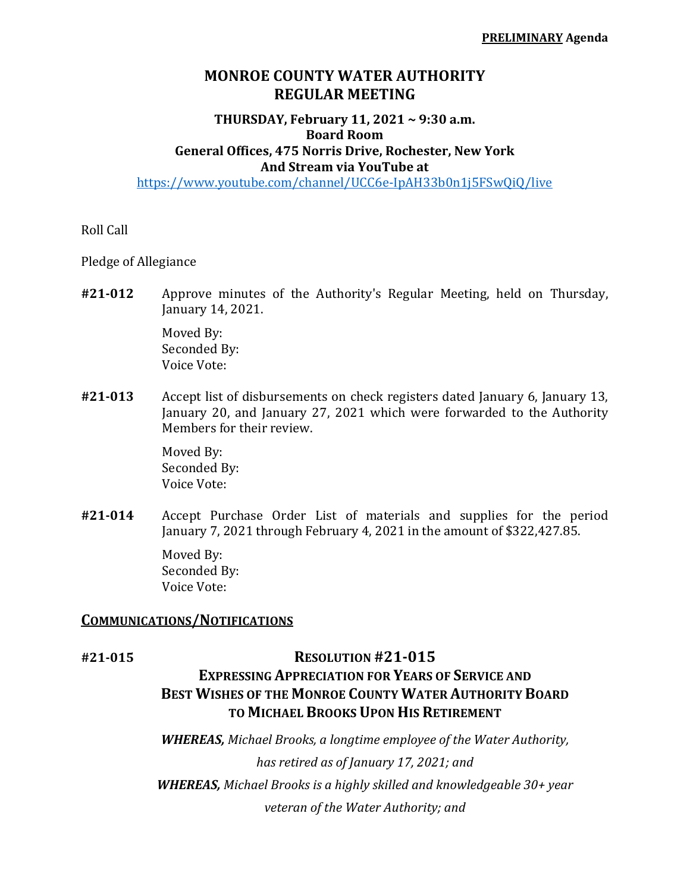# **MONROE COUNTY WATER AUTHORITY REGULAR MEETING**

## **THURSDAY, February 11, 2021 ~ 9:30 a.m. Board Room General Offices, 475 Norris Drive, Rochester, New York And Stream via YouTube at**

https://www.youtube.com/channel/UCC6e-IpAH33b0n1j5FSwQiQ/live

Roll Call

Pledge of Allegiance

**#21‐012** Approve minutes of the Authority's Regular Meeting, held on Thursday, January 14, 2021.

> Moved By: Seconded By: Voice Vote:

**#21‐013** Accept list of disbursements on check registers dated January 6, January 13, January 20, and January 27, 2021 which were forwarded to the Authority Members for their review.

> Moved By: Seconded By: Voice Vote:

**#21‐014** Accept Purchase Order List of materials and supplies for the period January 7, 2021 through February 4, 2021 in the amount of \$322,427.85.

> Moved By: Seconded By: Voice Vote:

## **COMMUNICATIONS/NOTIFICATIONS**

## **#21‐015 RESOLUTION #21‐015**

# **EXPRESSING APPRECIATION FOR YEARS OF SERVICE AND BEST WISHES OF THE MONROE COUNTY WATER AUTHORITY BOARD TO MICHAEL BROOKS UPON HIS RETIREMENT**

*WHEREAS, Michael Brooks, a longtime employee of the Water Authority, has retired as of January 17, 2021; and WHEREAS, Michael Brooks is a highly skilled and knowledgeable 30+ year veteran of the Water Authority; and*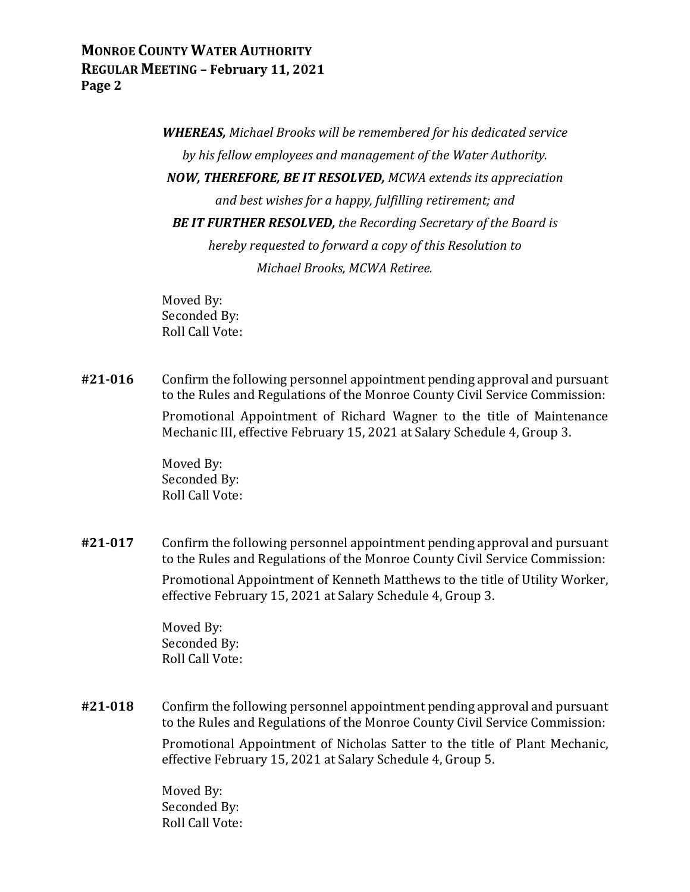# **MONROE COUNTY WATER AUTHORITY REGULAR MEETING – February 11, 2021 Page 2**

*WHEREAS, Michael Brooks will be remembered for his dedicated service by his fellow employees and management of the Water Authority. NOW, THEREFORE, BE IT RESOLVED, MCWA extends its appreciation and best wishes for a happy, fulfilling retirement; and BE IT FURTHER RESOLVED, the Recording Secretary of the Board is hereby requested to forward a copy of this Resolution to Michael Brooks, MCWA Retiree.*

 Moved By: Seconded By: Roll Call Vote:

**#21‐016** Confirm the following personnel appointment pending approval and pursuant to the Rules and Regulations of the Monroe County Civil Service Commission:

> Promotional Appointment of Richard Wagner to the title of Maintenance Mechanic III, effective February 15, 2021 at Salary Schedule 4, Group 3.

 Moved By: Seconded By: Roll Call Vote:

**#21‐017** Confirm the following personnel appointment pending approval and pursuant to the Rules and Regulations of the Monroe County Civil Service Commission:

> Promotional Appointment of Kenneth Matthews to the title of Utility Worker, effective February 15, 2021 at Salary Schedule 4, Group 3.

 Moved By: Seconded By: Roll Call Vote:

**#21‐018** Confirm the following personnel appointment pending approval and pursuant to the Rules and Regulations of the Monroe County Civil Service Commission:

> Promotional Appointment of Nicholas Satter to the title of Plant Mechanic, effective February 15, 2021 at Salary Schedule 4, Group 5.

 Moved By: Seconded By: Roll Call Vote: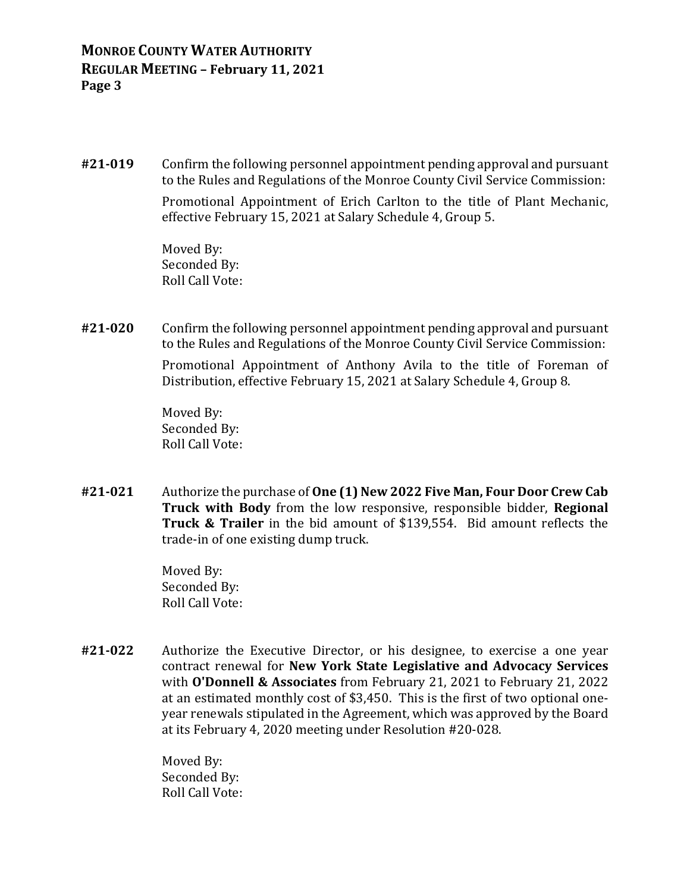**#21‐019** Confirm the following personnel appointment pending approval and pursuant to the Rules and Regulations of the Monroe County Civil Service Commission:

> Promotional Appointment of Erich Carlton to the title of Plant Mechanic, effective February 15, 2021 at Salary Schedule 4, Group 5.

 Moved By: Seconded By: Roll Call Vote:

**#21‐020** Confirm the following personnel appointment pending approval and pursuant to the Rules and Regulations of the Monroe County Civil Service Commission:

> Promotional Appointment of Anthony Avila to the title of Foreman of Distribution, effective February 15, 2021 at Salary Schedule 4, Group 8.

 Moved By: Seconded By: Roll Call Vote:

**#21‐021** Authorize the purchase of **One (1) New 2022 Five Man, Four Door Crew Cab Truck with Body** from the low responsive, responsible bidder, **Regional Truck & Trailer** in the bid amount of \$139,554. Bid amount reflects the trade-in of one existing dump truck.

> Moved By: Seconded By: Roll Call Vote:

**#21‐022** Authorize the Executive Director, or his designee, to exercise a one year contract renewal for **New York State Legislative and Advocacy Services** with **O'Donnell & Associates** from February 21, 2021 to February 21, 2022 at an estimated monthly cost of \$3,450. This is the first of two optional oneyear renewals stipulated in the Agreement, which was approved by the Board at its February 4, 2020 meeting under Resolution #20-028.

> Moved By: Seconded By: Roll Call Vote: